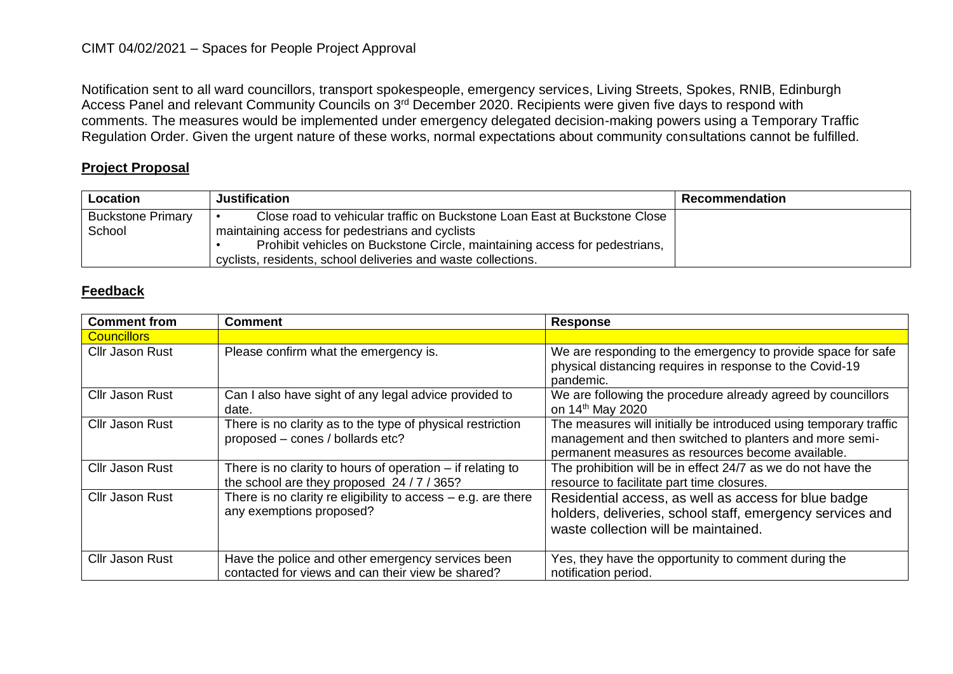## CIMT 04/02/2021 – Spaces for People Project Approval

Notification sent to all ward councillors, transport spokespeople, emergency services, Living Streets, Spokes, RNIB, Edinburgh Access Panel and relevant Community Councils on 3<sup>rd</sup> December 2020. Recipients were given five days to respond with comments. The measures would be implemented under emergency delegated decision-making powers using a Temporary Traffic Regulation Order. Given the urgent nature of these works, normal expectations about community consultations cannot be fulfilled.

## **Project Proposal**

| Location                 | <b>Justification</b>                                                       | <b>Recommendation</b> |
|--------------------------|----------------------------------------------------------------------------|-----------------------|
| <b>Buckstone Primary</b> | Close road to vehicular traffic on Buckstone Loan East at Buckstone Close  |                       |
| School                   | maintaining access for pedestrians and cyclists                            |                       |
|                          | Prohibit vehicles on Buckstone Circle, maintaining access for pedestrians, |                       |
|                          | cyclists, residents, school deliveries and waste collections.              |                       |

## **Feedback**

| <b>Comment from</b>    | <b>Comment</b>                                                                                         | <b>Response</b>                                                                                                                                                                   |
|------------------------|--------------------------------------------------------------------------------------------------------|-----------------------------------------------------------------------------------------------------------------------------------------------------------------------------------|
| <b>Councillors</b>     |                                                                                                        |                                                                                                                                                                                   |
| <b>Cllr Jason Rust</b> | Please confirm what the emergency is.                                                                  | We are responding to the emergency to provide space for safe<br>physical distancing requires in response to the Covid-19<br>pandemic.                                             |
| Cllr Jason Rust        | Can I also have sight of any legal advice provided to<br>date.                                         | We are following the procedure already agreed by councillors<br>on 14 <sup>th</sup> May 2020                                                                                      |
| Cllr Jason Rust        | There is no clarity as to the type of physical restriction<br>proposed - cones / bollards etc?         | The measures will initially be introduced using temporary traffic<br>management and then switched to planters and more semi-<br>permanent measures as resources become available. |
| <b>Cllr Jason Rust</b> | There is no clarity to hours of operation $-$ if relating to<br>the school are they proposed 24/7/365? | The prohibition will be in effect 24/7 as we do not have the<br>resource to facilitate part time closures.                                                                        |
| Cllr Jason Rust        | There is no clarity re eligibility to access $-$ e.g. are there<br>any exemptions proposed?            | Residential access, as well as access for blue badge<br>holders, deliveries, school staff, emergency services and<br>waste collection will be maintained.                         |
| Cllr Jason Rust        | Have the police and other emergency services been<br>contacted for views and can their view be shared? | Yes, they have the opportunity to comment during the<br>notification period.                                                                                                      |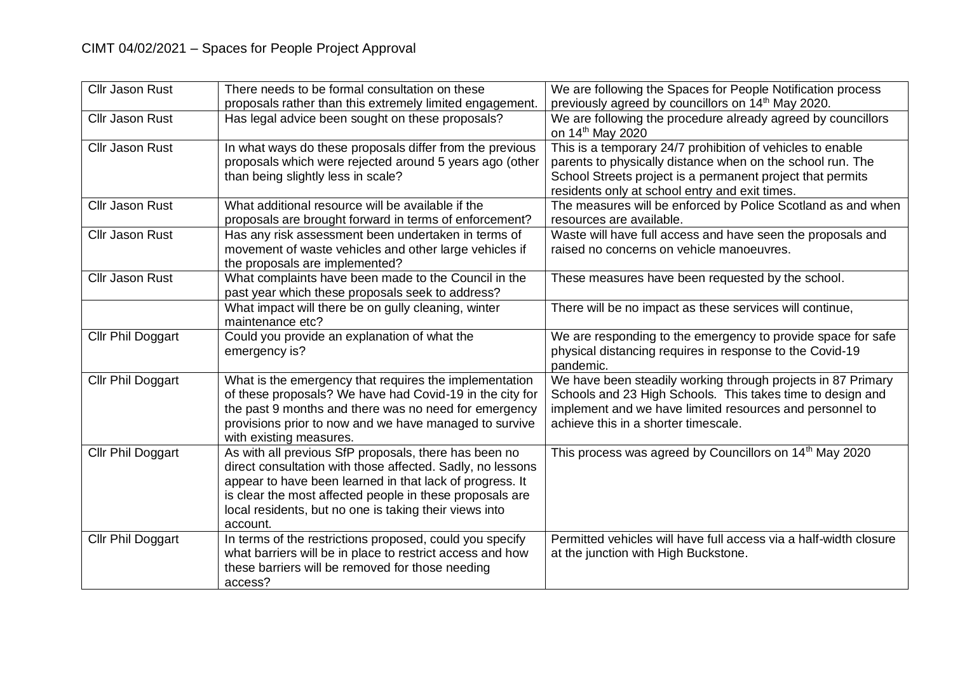| <b>Cllr Jason Rust</b> | There needs to be formal consultation on these<br>proposals rather than this extremely limited engagement.                                                                                                                                                                                                        | We are following the Spaces for People Notification process<br>previously agreed by councillors on 14 <sup>th</sup> May 2020.                                                                                                            |
|------------------------|-------------------------------------------------------------------------------------------------------------------------------------------------------------------------------------------------------------------------------------------------------------------------------------------------------------------|------------------------------------------------------------------------------------------------------------------------------------------------------------------------------------------------------------------------------------------|
| <b>Cllr Jason Rust</b> | Has legal advice been sought on these proposals?                                                                                                                                                                                                                                                                  | We are following the procedure already agreed by councillors<br>on 14 <sup>th</sup> May 2020                                                                                                                                             |
| Cllr Jason Rust        | In what ways do these proposals differ from the previous<br>proposals which were rejected around 5 years ago (other<br>than being slightly less in scale?                                                                                                                                                         | This is a temporary 24/7 prohibition of vehicles to enable<br>parents to physically distance when on the school run. The<br>School Streets project is a permanent project that permits<br>residents only at school entry and exit times. |
| <b>Cllr Jason Rust</b> | What additional resource will be available if the<br>proposals are brought forward in terms of enforcement?                                                                                                                                                                                                       | The measures will be enforced by Police Scotland as and when<br>resources are available.                                                                                                                                                 |
| <b>Cllr Jason Rust</b> | Has any risk assessment been undertaken in terms of<br>movement of waste vehicles and other large vehicles if<br>the proposals are implemented?                                                                                                                                                                   | Waste will have full access and have seen the proposals and<br>raised no concerns on vehicle manoeuvres.                                                                                                                                 |
| <b>Cllr Jason Rust</b> | What complaints have been made to the Council in the<br>past year which these proposals seek to address?                                                                                                                                                                                                          | These measures have been requested by the school.                                                                                                                                                                                        |
|                        | What impact will there be on gully cleaning, winter<br>maintenance etc?                                                                                                                                                                                                                                           | There will be no impact as these services will continue,                                                                                                                                                                                 |
| Cllr Phil Doggart      | Could you provide an explanation of what the<br>emergency is?                                                                                                                                                                                                                                                     | We are responding to the emergency to provide space for safe<br>physical distancing requires in response to the Covid-19<br>pandemic.                                                                                                    |
| Cllr Phil Doggart      | What is the emergency that requires the implementation<br>of these proposals? We have had Covid-19 in the city for<br>the past 9 months and there was no need for emergency<br>provisions prior to now and we have managed to survive<br>with existing measures.                                                  | We have been steadily working through projects in 87 Primary<br>Schools and 23 High Schools. This takes time to design and<br>implement and we have limited resources and personnel to<br>achieve this in a shorter timescale.           |
| Cllr Phil Doggart      | As with all previous SfP proposals, there has been no<br>direct consultation with those affected. Sadly, no lessons<br>appear to have been learned in that lack of progress. It<br>is clear the most affected people in these proposals are<br>local residents, but no one is taking their views into<br>account. | This process was agreed by Councillors on 14 <sup>th</sup> May 2020                                                                                                                                                                      |
| Cllr Phil Doggart      | In terms of the restrictions proposed, could you specify<br>what barriers will be in place to restrict access and how<br>these barriers will be removed for those needing<br>access?                                                                                                                              | Permitted vehicles will have full access via a half-width closure<br>at the junction with High Buckstone.                                                                                                                                |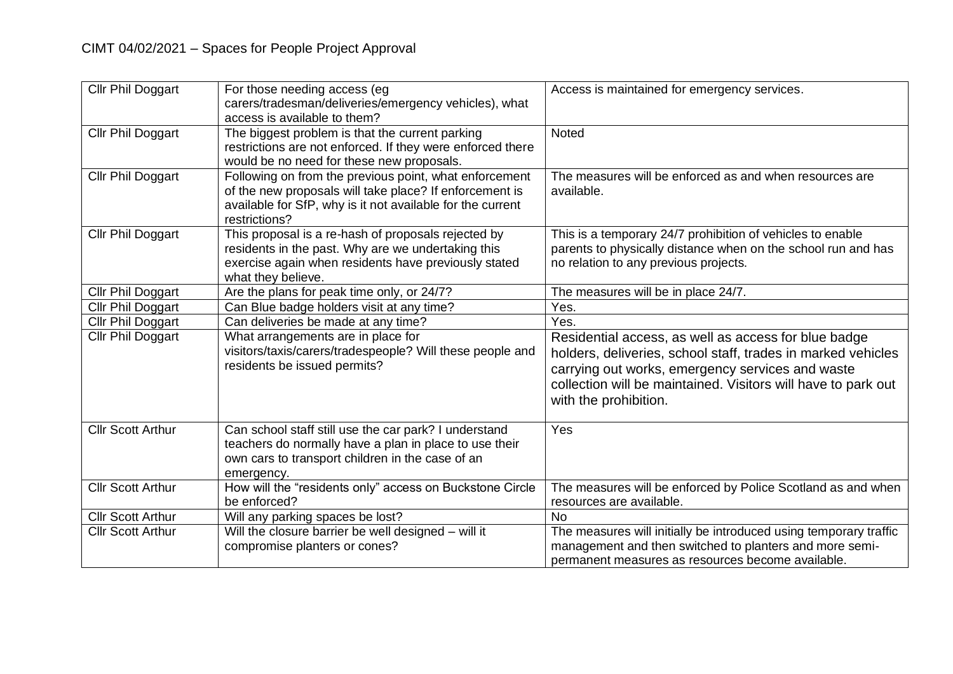| Cllr Phil Doggart        | For those needing access (eg<br>carers/tradesman/deliveries/emergency vehicles), what<br>access is available to them?                                                                            | Access is maintained for emergency services.                                                                                                                                                                                                                       |
|--------------------------|--------------------------------------------------------------------------------------------------------------------------------------------------------------------------------------------------|--------------------------------------------------------------------------------------------------------------------------------------------------------------------------------------------------------------------------------------------------------------------|
| Cllr Phil Doggart        | The biggest problem is that the current parking<br>restrictions are not enforced. If they were enforced there<br>would be no need for these new proposals.                                       | Noted                                                                                                                                                                                                                                                              |
| <b>Cllr Phil Doggart</b> | Following on from the previous point, what enforcement<br>of the new proposals will take place? If enforcement is<br>available for SfP, why is it not available for the current<br>restrictions? | The measures will be enforced as and when resources are<br>available.                                                                                                                                                                                              |
| Cllr Phil Doggart        | This proposal is a re-hash of proposals rejected by<br>residents in the past. Why are we undertaking this<br>exercise again when residents have previously stated<br>what they believe.          | This is a temporary 24/7 prohibition of vehicles to enable<br>parents to physically distance when on the school run and has<br>no relation to any previous projects.                                                                                               |
| Cllr Phil Doggart        | Are the plans for peak time only, or 24/7?                                                                                                                                                       | The measures will be in place 24/7.                                                                                                                                                                                                                                |
| Cllr Phil Doggart        | Can Blue badge holders visit at any time?                                                                                                                                                        | Yes.                                                                                                                                                                                                                                                               |
| Cllr Phil Doggart        | Can deliveries be made at any time?                                                                                                                                                              | Yes.                                                                                                                                                                                                                                                               |
| Cllr Phil Doggart        | What arrangements are in place for<br>visitors/taxis/carers/tradespeople? Will these people and<br>residents be issued permits?                                                                  | Residential access, as well as access for blue badge<br>holders, deliveries, school staff, trades in marked vehicles<br>carrying out works, emergency services and waste<br>collection will be maintained. Visitors will have to park out<br>with the prohibition. |
| <b>Cllr Scott Arthur</b> | Can school staff still use the car park? I understand<br>teachers do normally have a plan in place to use their<br>own cars to transport children in the case of an<br>emergency.                | Yes                                                                                                                                                                                                                                                                |
| <b>Cllr Scott Arthur</b> | How will the "residents only" access on Buckstone Circle<br>be enforced?                                                                                                                         | The measures will be enforced by Police Scotland as and when<br>resources are available.                                                                                                                                                                           |
| <b>Cllr Scott Arthur</b> | Will any parking spaces be lost?                                                                                                                                                                 | <b>No</b>                                                                                                                                                                                                                                                          |
| <b>Cllr Scott Arthur</b> | Will the closure barrier be well designed - will it<br>compromise planters or cones?                                                                                                             | The measures will initially be introduced using temporary traffic<br>management and then switched to planters and more semi-<br>permanent measures as resources become available.                                                                                  |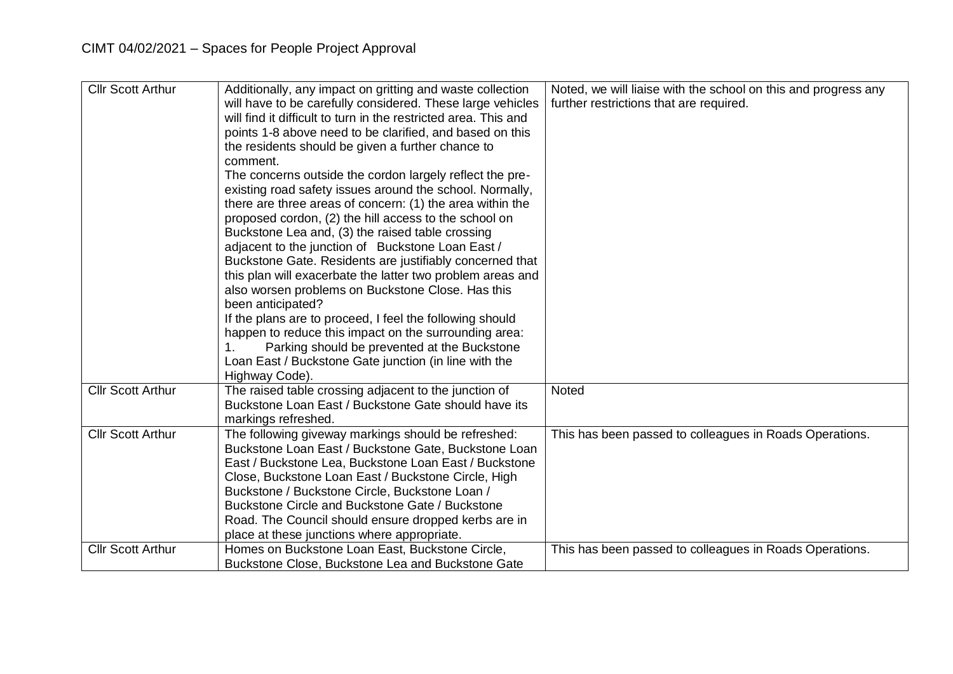| <b>Cllr Scott Arthur</b> | Additionally, any impact on gritting and waste collection<br>will have to be carefully considered. These large vehicles<br>will find it difficult to turn in the restricted area. This and<br>points 1-8 above need to be clarified, and based on this<br>the residents should be given a further chance to<br>comment.<br>The concerns outside the cordon largely reflect the pre-<br>existing road safety issues around the school. Normally,<br>there are three areas of concern: (1) the area within the<br>proposed cordon, (2) the hill access to the school on<br>Buckstone Lea and, (3) the raised table crossing<br>adjacent to the junction of Buckstone Loan East /<br>Buckstone Gate. Residents are justifiably concerned that<br>this plan will exacerbate the latter two problem areas and<br>also worsen problems on Buckstone Close. Has this<br>been anticipated?<br>If the plans are to proceed, I feel the following should<br>happen to reduce this impact on the surrounding area:<br>Parking should be prevented at the Buckstone<br>Loan East / Buckstone Gate junction (in line with the | Noted, we will liaise with the school on this and progress any<br>further restrictions that are required. |
|--------------------------|------------------------------------------------------------------------------------------------------------------------------------------------------------------------------------------------------------------------------------------------------------------------------------------------------------------------------------------------------------------------------------------------------------------------------------------------------------------------------------------------------------------------------------------------------------------------------------------------------------------------------------------------------------------------------------------------------------------------------------------------------------------------------------------------------------------------------------------------------------------------------------------------------------------------------------------------------------------------------------------------------------------------------------------------------------------------------------------------------------------|-----------------------------------------------------------------------------------------------------------|
|                          | Highway Code).                                                                                                                                                                                                                                                                                                                                                                                                                                                                                                                                                                                                                                                                                                                                                                                                                                                                                                                                                                                                                                                                                                   |                                                                                                           |
| <b>Cllr Scott Arthur</b> | The raised table crossing adjacent to the junction of                                                                                                                                                                                                                                                                                                                                                                                                                                                                                                                                                                                                                                                                                                                                                                                                                                                                                                                                                                                                                                                            | Noted                                                                                                     |
|                          | Buckstone Loan East / Buckstone Gate should have its                                                                                                                                                                                                                                                                                                                                                                                                                                                                                                                                                                                                                                                                                                                                                                                                                                                                                                                                                                                                                                                             |                                                                                                           |
|                          | markings refreshed.                                                                                                                                                                                                                                                                                                                                                                                                                                                                                                                                                                                                                                                                                                                                                                                                                                                                                                                                                                                                                                                                                              |                                                                                                           |
| <b>CIIr Scott Arthur</b> | The following giveway markings should be refreshed:                                                                                                                                                                                                                                                                                                                                                                                                                                                                                                                                                                                                                                                                                                                                                                                                                                                                                                                                                                                                                                                              | This has been passed to colleagues in Roads Operations.                                                   |
|                          | Buckstone Loan East / Buckstone Gate, Buckstone Loan                                                                                                                                                                                                                                                                                                                                                                                                                                                                                                                                                                                                                                                                                                                                                                                                                                                                                                                                                                                                                                                             |                                                                                                           |
|                          | East / Buckstone Lea, Buckstone Loan East / Buckstone                                                                                                                                                                                                                                                                                                                                                                                                                                                                                                                                                                                                                                                                                                                                                                                                                                                                                                                                                                                                                                                            |                                                                                                           |
|                          | Close, Buckstone Loan East / Buckstone Circle, High                                                                                                                                                                                                                                                                                                                                                                                                                                                                                                                                                                                                                                                                                                                                                                                                                                                                                                                                                                                                                                                              |                                                                                                           |
|                          | Buckstone / Buckstone Circle, Buckstone Loan /                                                                                                                                                                                                                                                                                                                                                                                                                                                                                                                                                                                                                                                                                                                                                                                                                                                                                                                                                                                                                                                                   |                                                                                                           |
|                          | Buckstone Circle and Buckstone Gate / Buckstone                                                                                                                                                                                                                                                                                                                                                                                                                                                                                                                                                                                                                                                                                                                                                                                                                                                                                                                                                                                                                                                                  |                                                                                                           |
|                          | Road. The Council should ensure dropped kerbs are in                                                                                                                                                                                                                                                                                                                                                                                                                                                                                                                                                                                                                                                                                                                                                                                                                                                                                                                                                                                                                                                             |                                                                                                           |
|                          | place at these junctions where appropriate.                                                                                                                                                                                                                                                                                                                                                                                                                                                                                                                                                                                                                                                                                                                                                                                                                                                                                                                                                                                                                                                                      |                                                                                                           |
| <b>Cllr Scott Arthur</b> | Homes on Buckstone Loan East, Buckstone Circle,                                                                                                                                                                                                                                                                                                                                                                                                                                                                                                                                                                                                                                                                                                                                                                                                                                                                                                                                                                                                                                                                  | This has been passed to colleagues in Roads Operations.                                                   |
|                          | Buckstone Close, Buckstone Lea and Buckstone Gate                                                                                                                                                                                                                                                                                                                                                                                                                                                                                                                                                                                                                                                                                                                                                                                                                                                                                                                                                                                                                                                                |                                                                                                           |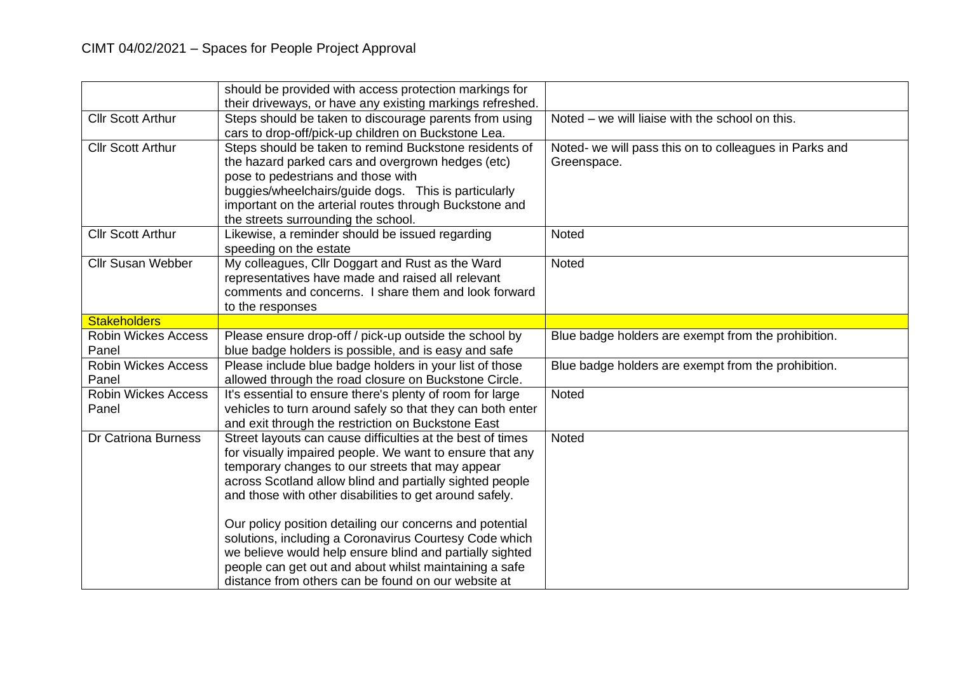|                            | should be provided with access protection markings for     |                                                        |
|----------------------------|------------------------------------------------------------|--------------------------------------------------------|
|                            | their driveways, or have any existing markings refreshed.  |                                                        |
| <b>Cllr Scott Arthur</b>   | Steps should be taken to discourage parents from using     | Noted – we will liaise with the school on this.        |
|                            | cars to drop-off/pick-up children on Buckstone Lea.        |                                                        |
| <b>Cllr Scott Arthur</b>   | Steps should be taken to remind Buckstone residents of     | Noted- we will pass this on to colleagues in Parks and |
|                            | the hazard parked cars and overgrown hedges (etc)          | Greenspace.                                            |
|                            | pose to pedestrians and those with                         |                                                        |
|                            | buggies/wheelchairs/guide dogs. This is particularly       |                                                        |
|                            | important on the arterial routes through Buckstone and     |                                                        |
|                            | the streets surrounding the school.                        |                                                        |
| <b>Cllr Scott Arthur</b>   | Likewise, a reminder should be issued regarding            | <b>Noted</b>                                           |
|                            | speeding on the estate                                     |                                                        |
| <b>Cllr Susan Webber</b>   | My colleagues, Cllr Doggart and Rust as the Ward           | Noted                                                  |
|                            | representatives have made and raised all relevant          |                                                        |
|                            | comments and concerns. I share them and look forward       |                                                        |
|                            | to the responses                                           |                                                        |
| <b>Stakeholders</b>        |                                                            |                                                        |
| <b>Robin Wickes Access</b> | Please ensure drop-off / pick-up outside the school by     | Blue badge holders are exempt from the prohibition.    |
| Panel                      | blue badge holders is possible, and is easy and safe       |                                                        |
| <b>Robin Wickes Access</b> | Please include blue badge holders in your list of those    | Blue badge holders are exempt from the prohibition.    |
| Panel                      | allowed through the road closure on Buckstone Circle.      |                                                        |
| <b>Robin Wickes Access</b> | It's essential to ensure there's plenty of room for large  | Noted                                                  |
| Panel                      | vehicles to turn around safely so that they can both enter |                                                        |
|                            | and exit through the restriction on Buckstone East         |                                                        |
| <b>Dr Catriona Burness</b> | Street layouts can cause difficulties at the best of times | Noted                                                  |
|                            | for visually impaired people. We want to ensure that any   |                                                        |
|                            | temporary changes to our streets that may appear           |                                                        |
|                            | across Scotland allow blind and partially sighted people   |                                                        |
|                            | and those with other disabilities to get around safely.    |                                                        |
|                            |                                                            |                                                        |
|                            | Our policy position detailing our concerns and potential   |                                                        |
|                            | solutions, including a Coronavirus Courtesy Code which     |                                                        |
|                            | we believe would help ensure blind and partially sighted   |                                                        |
|                            | people can get out and about whilst maintaining a safe     |                                                        |
|                            | distance from others can be found on our website at        |                                                        |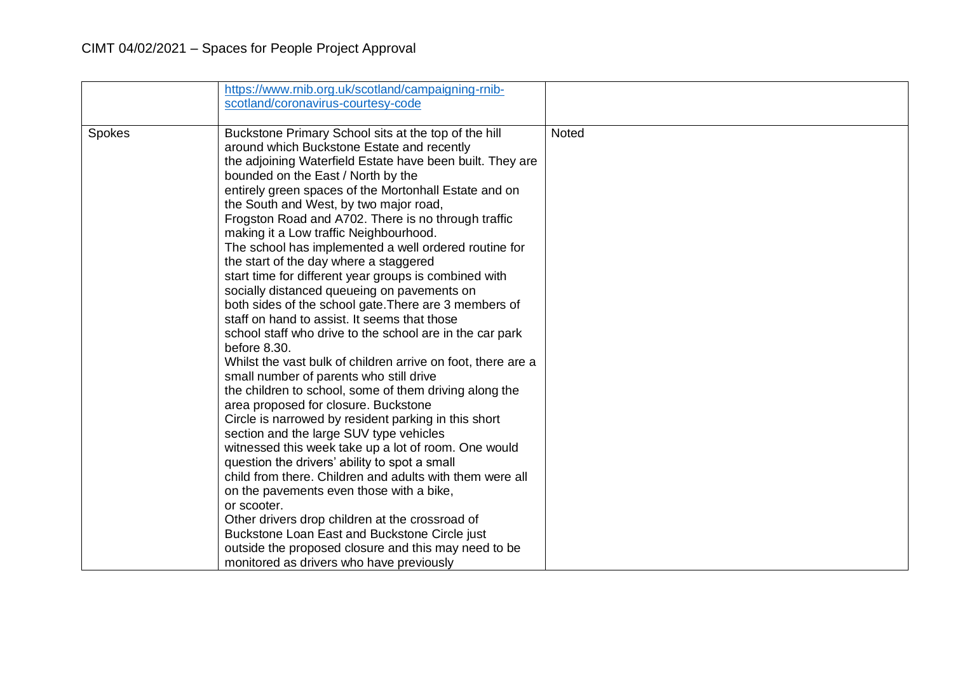|        | https://www.rnib.org.uk/scotland/campaigning-rnib-<br>scotland/coronavirus-courtesy-code                                                                                                                                                                                                                                                                                                                                                                                                                                                                                                                                                                                                                                                                                                                                                                                                                                                                                                                                                                                                                                                                                                                                                                                                                                                                                                                                                                                                                              |       |
|--------|-----------------------------------------------------------------------------------------------------------------------------------------------------------------------------------------------------------------------------------------------------------------------------------------------------------------------------------------------------------------------------------------------------------------------------------------------------------------------------------------------------------------------------------------------------------------------------------------------------------------------------------------------------------------------------------------------------------------------------------------------------------------------------------------------------------------------------------------------------------------------------------------------------------------------------------------------------------------------------------------------------------------------------------------------------------------------------------------------------------------------------------------------------------------------------------------------------------------------------------------------------------------------------------------------------------------------------------------------------------------------------------------------------------------------------------------------------------------------------------------------------------------------|-------|
|        |                                                                                                                                                                                                                                                                                                                                                                                                                                                                                                                                                                                                                                                                                                                                                                                                                                                                                                                                                                                                                                                                                                                                                                                                                                                                                                                                                                                                                                                                                                                       |       |
| Spokes | Buckstone Primary School sits at the top of the hill<br>around which Buckstone Estate and recently<br>the adjoining Waterfield Estate have been built. They are<br>bounded on the East / North by the<br>entirely green spaces of the Mortonhall Estate and on<br>the South and West, by two major road,<br>Frogston Road and A702. There is no through traffic<br>making it a Low traffic Neighbourhood.<br>The school has implemented a well ordered routine for<br>the start of the day where a staggered<br>start time for different year groups is combined with<br>socially distanced queueing on pavements on<br>both sides of the school gate. There are 3 members of<br>staff on hand to assist. It seems that those<br>school staff who drive to the school are in the car park<br>before 8.30.<br>Whilst the vast bulk of children arrive on foot, there are a<br>small number of parents who still drive<br>the children to school, some of them driving along the<br>area proposed for closure. Buckstone<br>Circle is narrowed by resident parking in this short<br>section and the large SUV type vehicles<br>witnessed this week take up a lot of room. One would<br>question the drivers' ability to spot a small<br>child from there. Children and adults with them were all<br>on the pavements even those with a bike,<br>or scooter.<br>Other drivers drop children at the crossroad of<br>Buckstone Loan East and Buckstone Circle just<br>outside the proposed closure and this may need to be | Noted |
|        | monitored as drivers who have previously                                                                                                                                                                                                                                                                                                                                                                                                                                                                                                                                                                                                                                                                                                                                                                                                                                                                                                                                                                                                                                                                                                                                                                                                                                                                                                                                                                                                                                                                              |       |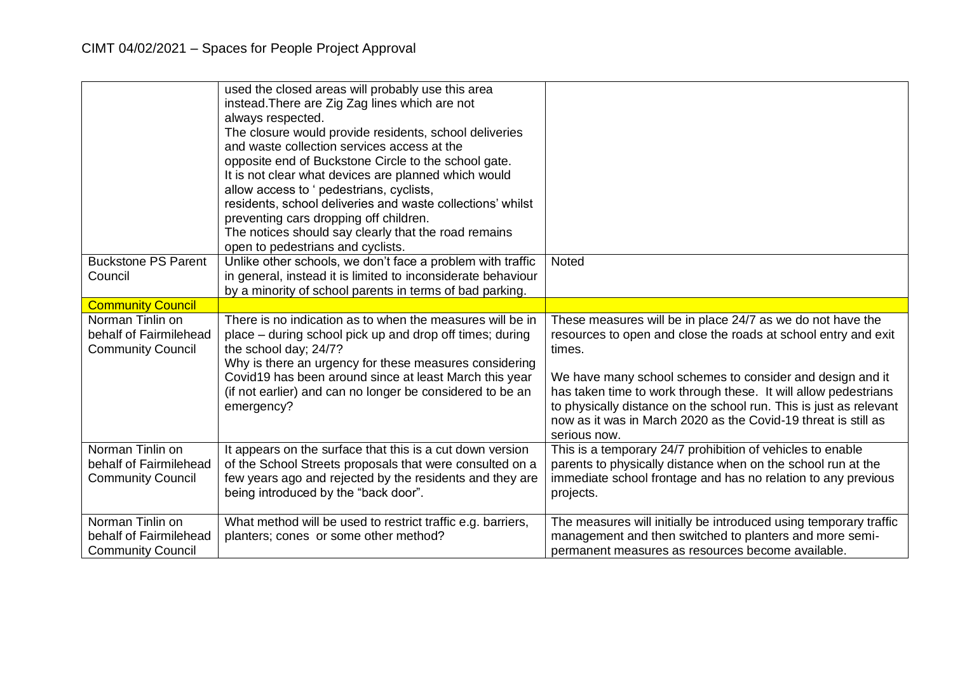|                                                                        | used the closed areas will probably use this area<br>instead. There are Zig Zag lines which are not<br>always respected.<br>The closure would provide residents, school deliveries<br>and waste collection services access at the<br>opposite end of Buckstone Circle to the school gate.<br>It is not clear what devices are planned which would<br>allow access to ' pedestrians, cyclists,<br>residents, school deliveries and waste collections' whilst<br>preventing cars dropping off children.<br>The notices should say clearly that the road remains<br>open to pedestrians and cyclists. |                                                                                                                                                                                                                                                                                                                                                                                                                                |
|------------------------------------------------------------------------|----------------------------------------------------------------------------------------------------------------------------------------------------------------------------------------------------------------------------------------------------------------------------------------------------------------------------------------------------------------------------------------------------------------------------------------------------------------------------------------------------------------------------------------------------------------------------------------------------|--------------------------------------------------------------------------------------------------------------------------------------------------------------------------------------------------------------------------------------------------------------------------------------------------------------------------------------------------------------------------------------------------------------------------------|
| <b>Buckstone PS Parent</b><br>Council                                  | Unlike other schools, we don't face a problem with traffic<br>in general, instead it is limited to inconsiderate behaviour                                                                                                                                                                                                                                                                                                                                                                                                                                                                         | <b>Noted</b>                                                                                                                                                                                                                                                                                                                                                                                                                   |
| <b>Community Council</b>                                               | by a minority of school parents in terms of bad parking.                                                                                                                                                                                                                                                                                                                                                                                                                                                                                                                                           |                                                                                                                                                                                                                                                                                                                                                                                                                                |
| Norman Tinlin on<br>behalf of Fairmilehead<br><b>Community Council</b> | There is no indication as to when the measures will be in<br>place – during school pick up and drop off times; during<br>the school day; 24/7?<br>Why is there an urgency for these measures considering<br>Covid19 has been around since at least March this year<br>(if not earlier) and can no longer be considered to be an<br>emergency?                                                                                                                                                                                                                                                      | These measures will be in place 24/7 as we do not have the<br>resources to open and close the roads at school entry and exit<br>times.<br>We have many school schemes to consider and design and it<br>has taken time to work through these. It will allow pedestrians<br>to physically distance on the school run. This is just as relevant<br>now as it was in March 2020 as the Covid-19 threat is still as<br>serious now. |
| Norman Tinlin on<br>behalf of Fairmilehead<br><b>Community Council</b> | It appears on the surface that this is a cut down version<br>of the School Streets proposals that were consulted on a<br>few years ago and rejected by the residents and they are<br>being introduced by the "back door".                                                                                                                                                                                                                                                                                                                                                                          | This is a temporary 24/7 prohibition of vehicles to enable<br>parents to physically distance when on the school run at the<br>immediate school frontage and has no relation to any previous<br>projects.                                                                                                                                                                                                                       |
| Norman Tinlin on<br>behalf of Fairmilehead<br><b>Community Council</b> | What method will be used to restrict traffic e.g. barriers,<br>planters; cones or some other method?                                                                                                                                                                                                                                                                                                                                                                                                                                                                                               | The measures will initially be introduced using temporary traffic<br>management and then switched to planters and more semi-<br>permanent measures as resources become available.                                                                                                                                                                                                                                              |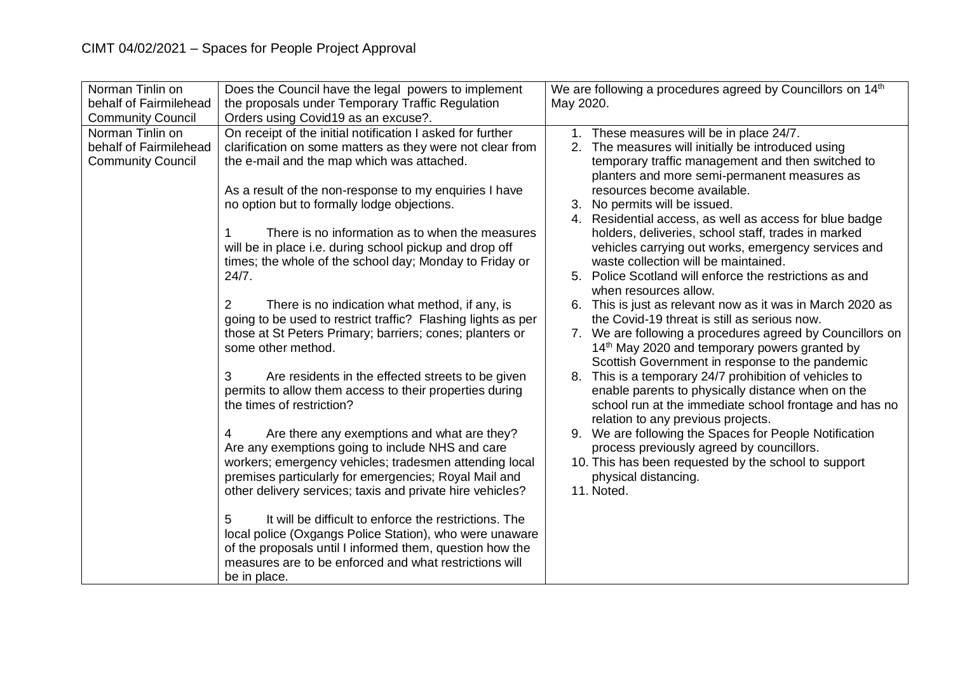| Norman Tinlin on         | Does the Council have the legal powers to implement                                                                |           | We are following a procedures agreed by Councillors on 14 <sup>th</sup> |
|--------------------------|--------------------------------------------------------------------------------------------------------------------|-----------|-------------------------------------------------------------------------|
| behalf of Fairmilehead   | the proposals under Temporary Traffic Regulation                                                                   | May 2020. |                                                                         |
| <b>Community Council</b> | Orders using Covid19 as an excuse?.                                                                                |           |                                                                         |
| Norman Tinlin on         | On receipt of the initial notification I asked for further                                                         |           | 1. These measures will be in place 24/7.                                |
| behalf of Fairmilehead   | clarification on some matters as they were not clear from                                                          |           | 2. The measures will initially be introduced using                      |
| <b>Community Council</b> | the e-mail and the map which was attached.                                                                         |           | temporary traffic management and then switched to                       |
|                          |                                                                                                                    |           | planters and more semi-permanent measures as                            |
|                          | As a result of the non-response to my enquiries I have                                                             |           | resources become available.                                             |
|                          | no option but to formally lodge objections.                                                                        |           | 3. No permits will be issued.                                           |
|                          |                                                                                                                    |           | 4. Residential access, as well as access for blue badge                 |
|                          | There is no information as to when the measures                                                                    |           | holders, deliveries, school staff, trades in marked                     |
|                          | will be in place i.e. during school pickup and drop off                                                            |           | vehicles carrying out works, emergency services and                     |
|                          | times; the whole of the school day; Monday to Friday or                                                            |           | waste collection will be maintained.                                    |
|                          | 24/7.                                                                                                              |           | 5. Police Scotland will enforce the restrictions as and                 |
|                          |                                                                                                                    |           | when resources allow.                                                   |
|                          | There is no indication what method, if any, is<br>2                                                                |           | 6. This is just as relevant now as it was in March 2020 as              |
|                          | going to be used to restrict traffic? Flashing lights as per                                                       |           | the Covid-19 threat is still as serious now.                            |
|                          | those at St Peters Primary; barriers; cones; planters or                                                           |           | 7. We are following a procedures agreed by Councillors on               |
|                          | some other method.                                                                                                 |           | 14 <sup>th</sup> May 2020 and temporary powers granted by               |
|                          |                                                                                                                    |           | Scottish Government in response to the pandemic                         |
|                          | 3<br>Are residents in the effected streets to be given                                                             |           | 8. This is a temporary 24/7 prohibition of vehicles to                  |
|                          | permits to allow them access to their properties during                                                            |           | enable parents to physically distance when on the                       |
|                          | the times of restriction?                                                                                          |           | school run at the immediate school frontage and has no                  |
|                          |                                                                                                                    |           | relation to any previous projects.                                      |
|                          | Are there any exemptions and what are they?<br>4                                                                   | 9.        | We are following the Spaces for People Notification                     |
|                          | Are any exemptions going to include NHS and care                                                                   |           | process previously agreed by councillors.                               |
|                          | workers; emergency vehicles; tradesmen attending local                                                             |           | 10. This has been requested by the school to support                    |
|                          | premises particularly for emergencies; Royal Mail and                                                              |           | physical distancing.                                                    |
|                          | other delivery services; taxis and private hire vehicles?                                                          |           | 11. Noted.                                                              |
|                          | It will be difficult to enforce the restrictions. The                                                              |           |                                                                         |
|                          | 5                                                                                                                  |           |                                                                         |
|                          | local police (Oxgangs Police Station), who were unaware                                                            |           |                                                                         |
|                          | of the proposals until I informed them, question how the<br>measures are to be enforced and what restrictions will |           |                                                                         |
|                          |                                                                                                                    |           |                                                                         |
|                          | be in place.                                                                                                       |           |                                                                         |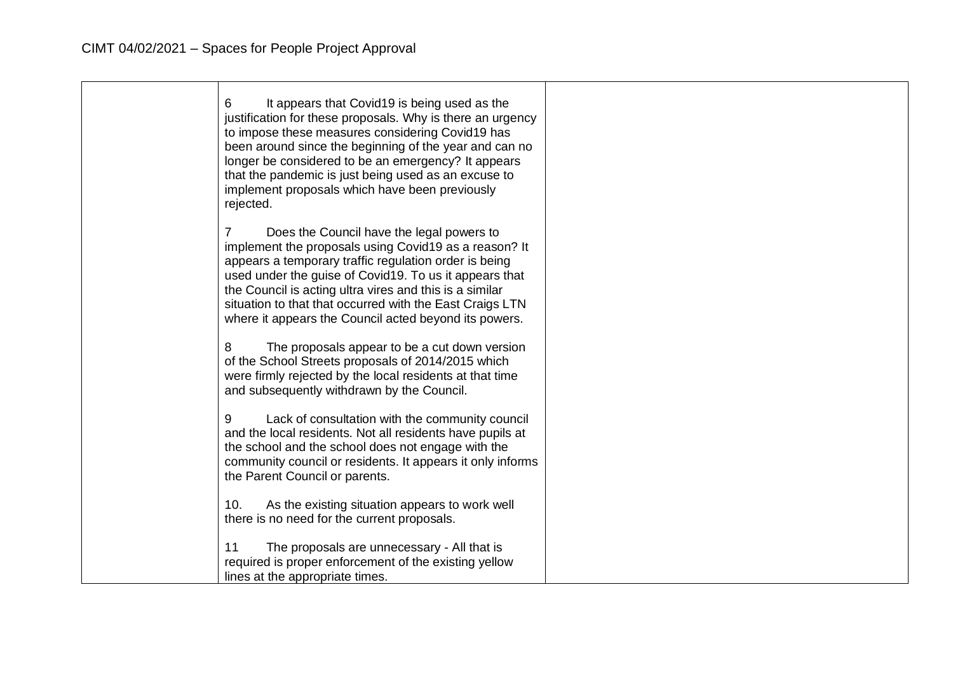| 6<br>It appears that Covid19 is being used as the<br>justification for these proposals. Why is there an urgency<br>to impose these measures considering Covid19 has<br>been around since the beginning of the year and can no<br>longer be considered to be an emergency? It appears<br>that the pandemic is just being used as an excuse to<br>implement proposals which have been previously<br>rejected. |  |
|-------------------------------------------------------------------------------------------------------------------------------------------------------------------------------------------------------------------------------------------------------------------------------------------------------------------------------------------------------------------------------------------------------------|--|
| Does the Council have the legal powers to<br>implement the proposals using Covid19 as a reason? It<br>appears a temporary traffic regulation order is being<br>used under the guise of Covid19. To us it appears that<br>the Council is acting ultra vires and this is a similar<br>situation to that that occurred with the East Craigs LTN<br>where it appears the Council acted beyond its powers.       |  |
| The proposals appear to be a cut down version<br>8<br>of the School Streets proposals of 2014/2015 which<br>were firmly rejected by the local residents at that time<br>and subsequently withdrawn by the Council.                                                                                                                                                                                          |  |
| Lack of consultation with the community council<br>9<br>and the local residents. Not all residents have pupils at<br>the school and the school does not engage with the<br>community council or residents. It appears it only informs<br>the Parent Council or parents.                                                                                                                                     |  |
| As the existing situation appears to work well<br>10.<br>there is no need for the current proposals.                                                                                                                                                                                                                                                                                                        |  |
| 11<br>The proposals are unnecessary - All that is<br>required is proper enforcement of the existing yellow<br>lines at the appropriate times.                                                                                                                                                                                                                                                               |  |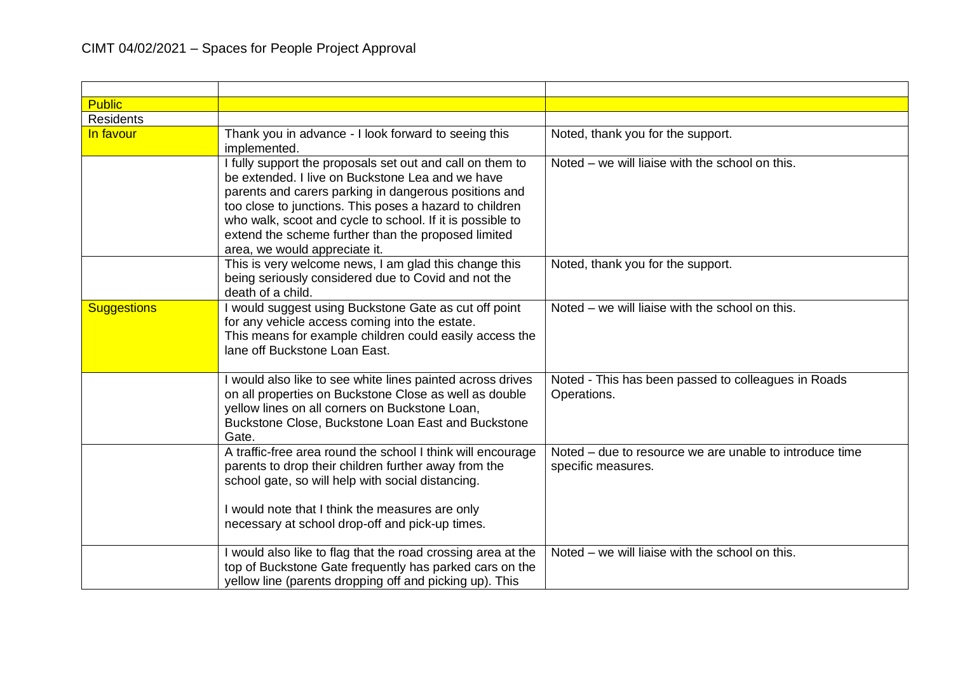| <b>Public</b>      |                                                                                                                                                                                                                                                                                                                                                                                        |                                                                               |
|--------------------|----------------------------------------------------------------------------------------------------------------------------------------------------------------------------------------------------------------------------------------------------------------------------------------------------------------------------------------------------------------------------------------|-------------------------------------------------------------------------------|
| <b>Residents</b>   |                                                                                                                                                                                                                                                                                                                                                                                        |                                                                               |
| In favour          | Thank you in advance - I look forward to seeing this<br>implemented.                                                                                                                                                                                                                                                                                                                   | Noted, thank you for the support.                                             |
|                    | I fully support the proposals set out and call on them to<br>be extended. I live on Buckstone Lea and we have<br>parents and carers parking in dangerous positions and<br>too close to junctions. This poses a hazard to children<br>who walk, scoot and cycle to school. If it is possible to<br>extend the scheme further than the proposed limited<br>area, we would appreciate it. | Noted – we will liaise with the school on this.                               |
|                    | This is very welcome news, I am glad this change this<br>being seriously considered due to Covid and not the<br>death of a child.                                                                                                                                                                                                                                                      | Noted, thank you for the support.                                             |
| <b>Suggestions</b> | would suggest using Buckstone Gate as cut off point<br>for any vehicle access coming into the estate.<br>This means for example children could easily access the<br>lane off Buckstone Loan East.                                                                                                                                                                                      | Noted – we will liaise with the school on this.                               |
|                    | would also like to see white lines painted across drives<br>on all properties on Buckstone Close as well as double<br>yellow lines on all corners on Buckstone Loan,<br>Buckstone Close, Buckstone Loan East and Buckstone<br>Gate.                                                                                                                                                    | Noted - This has been passed to colleagues in Roads<br>Operations.            |
|                    | A traffic-free area round the school I think will encourage<br>parents to drop their children further away from the<br>school gate, so will help with social distancing.<br>I would note that I think the measures are only<br>necessary at school drop-off and pick-up times.                                                                                                         | Noted – due to resource we are unable to introduce time<br>specific measures. |
|                    | would also like to flag that the road crossing area at the<br>top of Buckstone Gate frequently has parked cars on the<br>yellow line (parents dropping off and picking up). This                                                                                                                                                                                                       | Noted – we will liaise with the school on this.                               |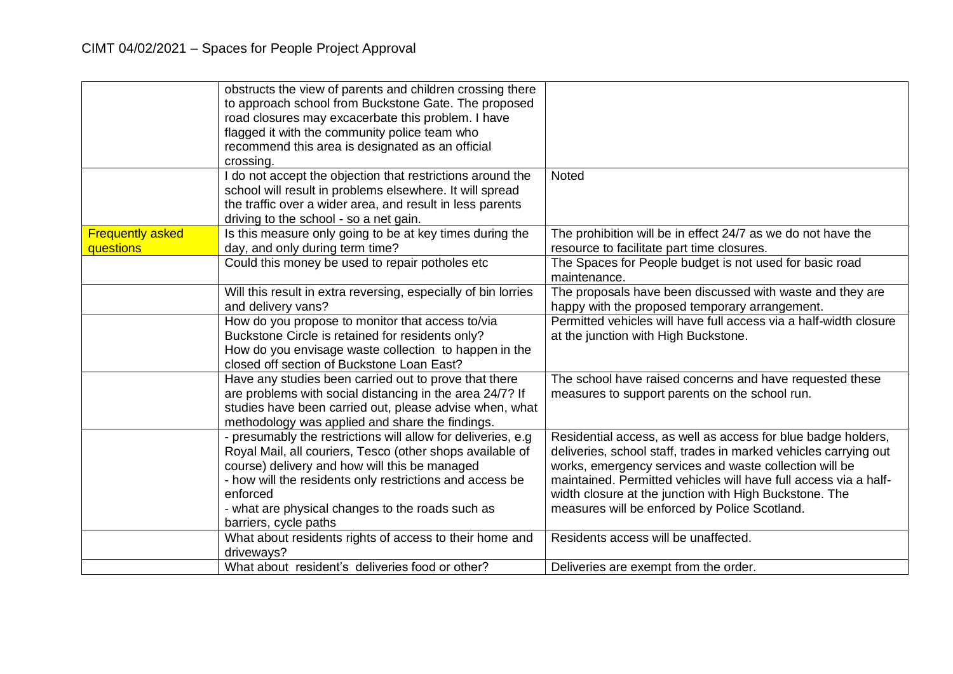|                         | obstructs the view of parents and children crossing there      |                                                                   |
|-------------------------|----------------------------------------------------------------|-------------------------------------------------------------------|
|                         |                                                                |                                                                   |
|                         | to approach school from Buckstone Gate. The proposed           |                                                                   |
|                         | road closures may excacerbate this problem. I have             |                                                                   |
|                         | flagged it with the community police team who                  |                                                                   |
|                         | recommend this area is designated as an official               |                                                                   |
|                         | crossing.                                                      |                                                                   |
|                         | I do not accept the objection that restrictions around the     | <b>Noted</b>                                                      |
|                         | school will result in problems elsewhere. It will spread       |                                                                   |
|                         | the traffic over a wider area, and result in less parents      |                                                                   |
|                         | driving to the school - so a net gain.                         |                                                                   |
| <b>Frequently asked</b> | Is this measure only going to be at key times during the       | The prohibition will be in effect 24/7 as we do not have the      |
| questions               | day, and only during term time?                                | resource to facilitate part time closures.                        |
|                         | Could this money be used to repair potholes etc                | The Spaces for People budget is not used for basic road           |
|                         |                                                                | maintenance.                                                      |
|                         |                                                                |                                                                   |
|                         | Will this result in extra reversing, especially of bin lorries | The proposals have been discussed with waste and they are         |
|                         | and delivery vans?                                             | happy with the proposed temporary arrangement.                    |
|                         | How do you propose to monitor that access to/via               | Permitted vehicles will have full access via a half-width closure |
|                         | Buckstone Circle is retained for residents only?               | at the junction with High Buckstone.                              |
|                         | How do you envisage waste collection to happen in the          |                                                                   |
|                         | closed off section of Buckstone Loan East?                     |                                                                   |
|                         | Have any studies been carried out to prove that there          | The school have raised concerns and have requested these          |
|                         | are problems with social distancing in the area 24/7? If       | measures to support parents on the school run.                    |
|                         | studies have been carried out, please advise when, what        |                                                                   |
|                         | methodology was applied and share the findings.                |                                                                   |
|                         | - presumably the restrictions will allow for deliveries, e.g   | Residential access, as well as access for blue badge holders,     |
|                         | Royal Mail, all couriers, Tesco (other shops available of      | deliveries, school staff, trades in marked vehicles carrying out  |
|                         | course) delivery and how will this be managed                  | works, emergency services and waste collection will be            |
|                         | - how will the residents only restrictions and access be       | maintained. Permitted vehicles will have full access via a half-  |
|                         | enforced                                                       | width closure at the junction with High Buckstone. The            |
|                         |                                                                |                                                                   |
|                         | - what are physical changes to the roads such as               | measures will be enforced by Police Scotland.                     |
|                         | barriers, cycle paths                                          |                                                                   |
|                         | What about residents rights of access to their home and        | Residents access will be unaffected.                              |
|                         | driveways?                                                     |                                                                   |
|                         | What about resident's deliveries food or other?                | Deliveries are exempt from the order.                             |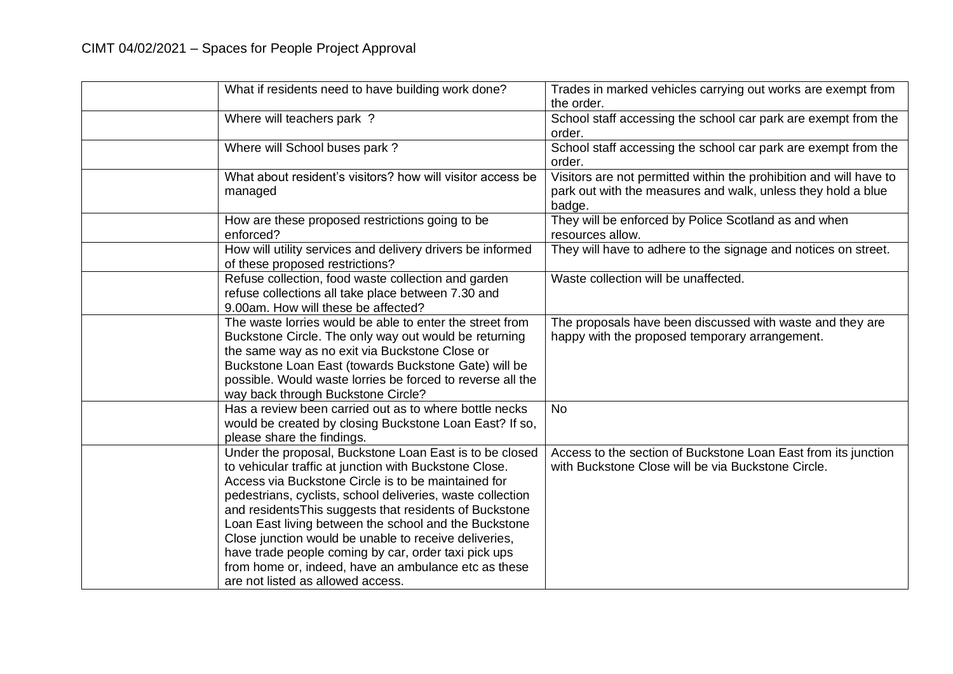| What if residents need to have building work done?                                                                                                                                                                                                                                                                                                                                                                                                                                                                                                                       | Trades in marked vehicles carrying out works are exempt from<br>the order.                                                                   |
|--------------------------------------------------------------------------------------------------------------------------------------------------------------------------------------------------------------------------------------------------------------------------------------------------------------------------------------------------------------------------------------------------------------------------------------------------------------------------------------------------------------------------------------------------------------------------|----------------------------------------------------------------------------------------------------------------------------------------------|
| Where will teachers park?                                                                                                                                                                                                                                                                                                                                                                                                                                                                                                                                                | School staff accessing the school car park are exempt from the<br>order.                                                                     |
| Where will School buses park?                                                                                                                                                                                                                                                                                                                                                                                                                                                                                                                                            | School staff accessing the school car park are exempt from the<br>order.                                                                     |
| What about resident's visitors? how will visitor access be<br>managed                                                                                                                                                                                                                                                                                                                                                                                                                                                                                                    | Visitors are not permitted within the prohibition and will have to<br>park out with the measures and walk, unless they hold a blue<br>badge. |
| How are these proposed restrictions going to be<br>enforced?                                                                                                                                                                                                                                                                                                                                                                                                                                                                                                             | They will be enforced by Police Scotland as and when<br>resources allow.                                                                     |
| How will utility services and delivery drivers be informed<br>of these proposed restrictions?                                                                                                                                                                                                                                                                                                                                                                                                                                                                            | They will have to adhere to the signage and notices on street.                                                                               |
| Refuse collection, food waste collection and garden<br>refuse collections all take place between 7.30 and<br>9.00am. How will these be affected?                                                                                                                                                                                                                                                                                                                                                                                                                         | Waste collection will be unaffected.                                                                                                         |
| The waste lorries would be able to enter the street from<br>Buckstone Circle. The only way out would be returning<br>the same way as no exit via Buckstone Close or<br>Buckstone Loan East (towards Buckstone Gate) will be<br>possible. Would waste lorries be forced to reverse all the<br>way back through Buckstone Circle?                                                                                                                                                                                                                                          | The proposals have been discussed with waste and they are<br>happy with the proposed temporary arrangement.                                  |
| Has a review been carried out as to where bottle necks<br>would be created by closing Buckstone Loan East? If so,<br>please share the findings.                                                                                                                                                                                                                                                                                                                                                                                                                          | <b>No</b>                                                                                                                                    |
| Under the proposal, Buckstone Loan East is to be closed<br>to vehicular traffic at junction with Buckstone Close.<br>Access via Buckstone Circle is to be maintained for<br>pedestrians, cyclists, school deliveries, waste collection<br>and residents This suggests that residents of Buckstone<br>Loan East living between the school and the Buckstone<br>Close junction would be unable to receive deliveries,<br>have trade people coming by car, order taxi pick ups<br>from home or, indeed, have an ambulance etc as these<br>are not listed as allowed access. | Access to the section of Buckstone Loan East from its junction<br>with Buckstone Close will be via Buckstone Circle.                         |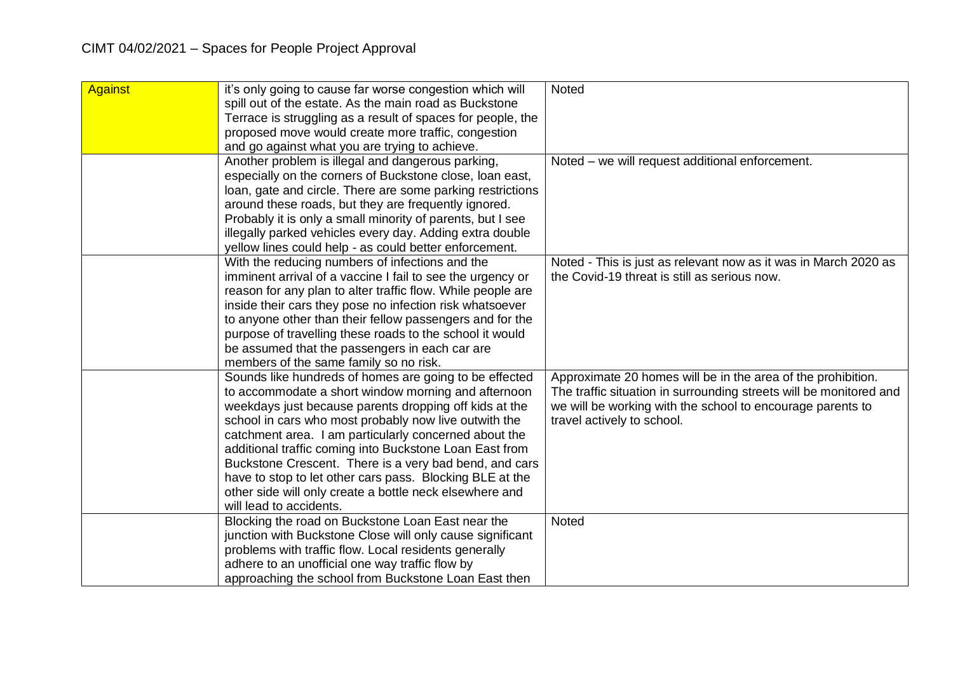| <b>Against</b> | it's only going to cause far worse congestion which will    | Noted                                                              |
|----------------|-------------------------------------------------------------|--------------------------------------------------------------------|
|                | spill out of the estate. As the main road as Buckstone      |                                                                    |
|                | Terrace is struggling as a result of spaces for people, the |                                                                    |
|                | proposed move would create more traffic, congestion         |                                                                    |
|                | and go against what you are trying to achieve.              |                                                                    |
|                | Another problem is illegal and dangerous parking,           | Noted - we will request additional enforcement.                    |
|                | especially on the corners of Buckstone close, loan east,    |                                                                    |
|                | loan, gate and circle. There are some parking restrictions  |                                                                    |
|                | around these roads, but they are frequently ignored.        |                                                                    |
|                | Probably it is only a small minority of parents, but I see  |                                                                    |
|                | illegally parked vehicles every day. Adding extra double    |                                                                    |
|                | yellow lines could help - as could better enforcement.      |                                                                    |
|                | With the reducing numbers of infections and the             | Noted - This is just as relevant now as it was in March 2020 as    |
|                | imminent arrival of a vaccine I fail to see the urgency or  | the Covid-19 threat is still as serious now.                       |
|                | reason for any plan to alter traffic flow. While people are |                                                                    |
|                | inside their cars they pose no infection risk whatsoever    |                                                                    |
|                | to anyone other than their fellow passengers and for the    |                                                                    |
|                | purpose of travelling these roads to the school it would    |                                                                    |
|                | be assumed that the passengers in each car are              |                                                                    |
|                | members of the same family so no risk.                      |                                                                    |
|                | Sounds like hundreds of homes are going to be effected      | Approximate 20 homes will be in the area of the prohibition.       |
|                | to accommodate a short window morning and afternoon         | The traffic situation in surrounding streets will be monitored and |
|                | weekdays just because parents dropping off kids at the      | we will be working with the school to encourage parents to         |
|                | school in cars who most probably now live outwith the       | travel actively to school.                                         |
|                | catchment area. I am particularly concerned about the       |                                                                    |
|                | additional traffic coming into Buckstone Loan East from     |                                                                    |
|                | Buckstone Crescent. There is a very bad bend, and cars      |                                                                    |
|                | have to stop to let other cars pass. Blocking BLE at the    |                                                                    |
|                | other side will only create a bottle neck elsewhere and     |                                                                    |
|                | will lead to accidents.                                     |                                                                    |
|                | Blocking the road on Buckstone Loan East near the           | <b>Noted</b>                                                       |
|                | junction with Buckstone Close will only cause significant   |                                                                    |
|                | problems with traffic flow. Local residents generally       |                                                                    |
|                | adhere to an unofficial one way traffic flow by             |                                                                    |
|                | approaching the school from Buckstone Loan East then        |                                                                    |